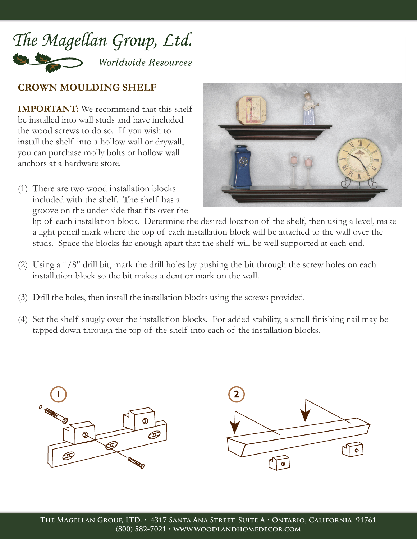

## **CROWN MOULDING SHELF**

**IMPORTANT:** We recommend that this shelf be installed into wall studs and have included the wood screws to do so. If you wish to install the shelf into a hollow wall or drywall, you can purchase molly bolts or hollow wall anchors at a hardware store.

(1) There are two wood installation blocks included with the shelf. The shelf has a groove on the under side that fits over the



lip of each installation block. Determine the desired location of the shelf, then using a level, make a light pencil mark where the top of each installation block will be attached to the wall over the studs. Space the blocks far enough apart that the shelf will be well supported at each end.

- (2) Using a 1/8" drill bit, mark the drill holes by pushing the bit through the screw holes on each installation block so the bit makes a dent or mark on the wall.
- (3) Drill the holes, then install the installation blocks using the screws provided.
- (4) Set the shelf snugly over the installation blocks. For added stability, a small finishing nail may be tapped down through the top of the shelf into each of the installation blocks.